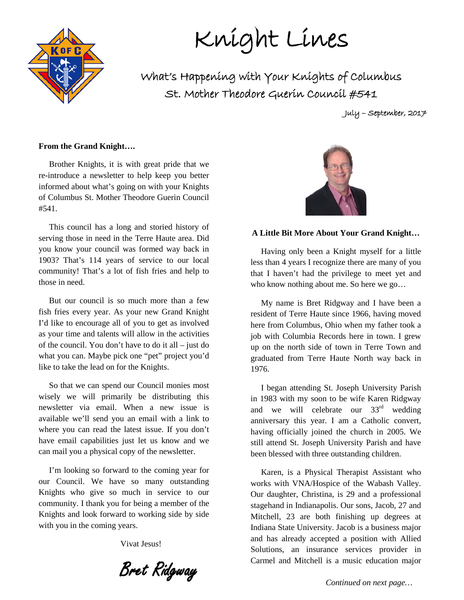# Knight Lines

What's Happening with Your Knights of Columbus St. Mother Theodore Guerin Council #541

July – September, 2017

#### **From the Grand Knight….**

 Brother Knights, it is with great pride that we re-introduce a newsletter to help keep you better informed about what's going on with your Knights of Columbus St. Mother Theodore Guerin Council #541.

 This council has a long and storied history of serving those in need in the Terre Haute area. Did you know your council was formed way back in 1903? That's 114 years of service to our local community! That's a lot of fish fries and help to those in need.

 But our council is so much more than a few fish fries every year. As your new Grand Knight I'd like to encourage all of you to get as involved as your time and talents will allow in the activities of the council. You don't have to do it all – just do what you can. Maybe pick one "pet" project you'd like to take the lead on for the Knights.

 So that we can spend our Council monies most wisely we will primarily be distributing this newsletter via email. When a new issue is available we'll send you an email with a link to where you can read the latest issue. If you don't have email capabilities just let us know and we can mail you a physical copy of the newsletter.

 I'm looking so forward to the coming year for our Council. We have so many outstanding Knights who give so much in service to our community. I thank you for being a member of the Knights and look forward to working side by side with you in the coming years.

Vivat Jesus!

Bret Ridgway



#### **A Little Bit More About Your Grand Knight…**

 Having only been a Knight myself for a little less than 4 years I recognize there are many of you that I haven't had the privilege to meet yet and who know nothing about me. So here we go…

 My name is Bret Ridgway and I have been a resident of Terre Haute since 1966, having moved here from Columbus, Ohio when my father took a job with Columbia Records here in town. I grew up on the north side of town in Terre Town and graduated from Terre Haute North way back in 1976.

 I began attending St. Joseph University Parish in 1983 with my soon to be wife Karen Ridgway and we will celebrate our 33<sup>rd</sup> wedding anniversary this year. I am a Catholic convert, having officially joined the church in 2005. We still attend St. Joseph University Parish and have been blessed with three outstanding children.

 Karen, is a Physical Therapist Assistant who works with VNA/Hospice of the Wabash Valley. Our daughter, Christina, is 29 and a professional stagehand in Indianapolis. Our sons, Jacob, 27 and Mitchell, 23 are both finishing up degrees at Indiana State University. Jacob is a business major and has already accepted a position with Allied Solutions, an insurance services provider in Carmel and Mitchell is a music education major

 *Continued on next page…*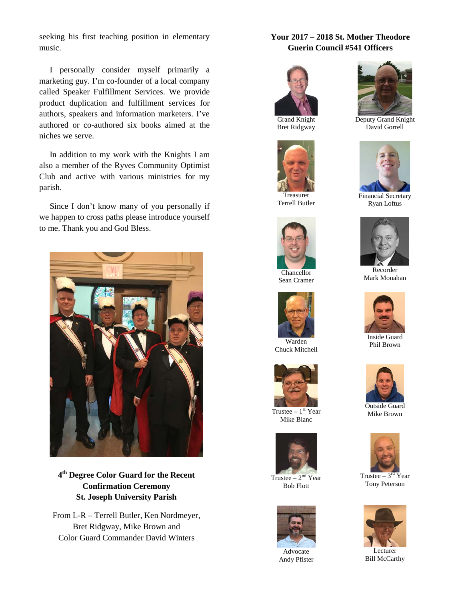seeking his first teaching position in elementary music.

authored or co-authored six books aimed at the I personally consider myself primarily a marketing guy. I'm co-founder of a local company called Speaker Fulfillment Services. We provide product duplication and fulfillment services for authors, speakers and information marketers. I've niches we serve.

 In addition to my work with the Knights I am also a member of the Ryves Community Optimist Club and active with various ministries for my parish.

 $\frac{1}{2}$ appen to ci  $\frac{1}{2}$   $\frac{1}{2}$ we happen to cross paths please introduce yourself Since I don't know many of you personally if to me. Thank you and God Bless.



**4th Degree Color Guard for the Recent Confirmation Ceremony St. Joseph University Parish**

From L-R – Terrell Butler, Ken Nordmeyer, Bret Ridgway, Mike Brown and Color Guard Commander David Winters

#### **Your 2017 – 2018 St. Mother Theodore Guerin Council #541 Officers**



Bret Ridgway



Treasurer Terrell Butler



Chancellor Sean Cramer



Chuck Mitchell



Trustee  $-1$ <sup>st</sup> Year Mike Blanc



Trustee –  $2<sup>nd</sup>$  Year Bob Flott



Advocate Andy Pfister



Deputy Grand Knight David Gorrell



Financial Secretary Ryan Loftus



Recorder Mark Monahan



Inside Guard Phil Brown



Outside Guard Mike Brown



Trustee –  $3<sup>rd</sup>$  Year Tony Peterson



**Lecturer** Bill McCarthy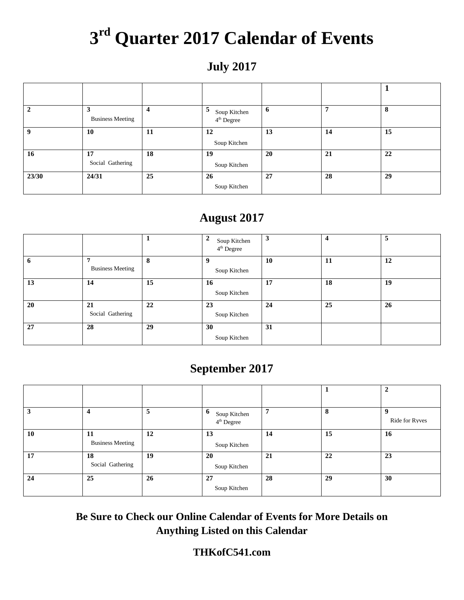## **3rd Quarter 2017 Calendar of Events**

## **July 2017**

|       | 3<br><b>Business Meeting</b> | 4  | 5<br>Soup Kitchen<br>4 <sup>th</sup> Degree | 6  | 7  | 8  |
|-------|------------------------------|----|---------------------------------------------|----|----|----|
| -9    | 10                           | 11 | 12<br>Soup Kitchen                          | 13 | 14 | 15 |
| 16    | 17<br>Social Gathering       | 18 | 19<br>Soup Kitchen                          | 20 | 21 | 22 |
| 23/30 | 24/31                        | 25 | 26<br>Soup Kitchen                          | 27 | 28 | 29 |

## **August 2017**

|    |                                           |    | 2<br>Soup Kitchen<br>$4th$ Degree | 3  | 4  | 5  |
|----|-------------------------------------------|----|-----------------------------------|----|----|----|
| -6 | $\overline{7}$<br><b>Business Meeting</b> | 8  | Soup Kitchen                      | 10 | 11 | 12 |
| 13 | 14                                        | 15 | 16<br>Soup Kitchen                | 17 | 18 | 19 |
| 20 | 21<br>Social Gathering                    | 22 | 23<br>Soup Kitchen                | 24 | 25 | 26 |
| 27 | 28                                        | 29 | 30<br>Soup Kitchen                | 31 |    |    |

## **September 2017**

|    |                               |    |                                             |    |    | $\overline{2}$ |
|----|-------------------------------|----|---------------------------------------------|----|----|----------------|
|    | $\overline{\mathbf{4}}$       | 5  | 6<br>Soup Kitchen<br>4 <sup>th</sup> Degree | 7  | 8  | Ride for Ryves |
| 10 | 11<br><b>Business Meeting</b> | 12 | 13<br>Soup Kitchen                          | 14 | 15 | 16             |
| 17 | 18<br>Social Gathering        | 19 | 20<br>Soup Kitchen                          | 21 | 22 | 23             |
| 24 | 25                            | 26 | 27<br>Soup Kitchen                          | 28 | 29 | 30             |

**Be Sure to Check our Online Calendar of Events for More Details on Anything Listed on this Calendar**

#### **THKofC541.com**